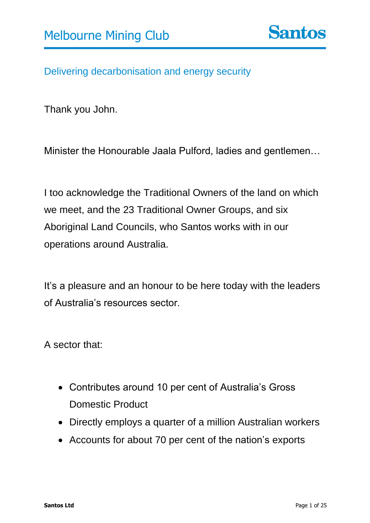Delivering decarbonisation and energy security

Thank you John.

Minister the Honourable Jaala Pulford, ladies and gentlemen…

I too acknowledge the Traditional Owners of the land on which we meet, and the 23 Traditional Owner Groups, and six Aboriginal Land Councils, who Santos works with in our operations around Australia.

It's a pleasure and an honour to be here today with the leaders of Australia's resources sector.

A sector that:

- Contributes around 10 per cent of Australia's Gross Domestic Product
- Directly employs a quarter of a million Australian workers
- Accounts for about 70 per cent of the nation's exports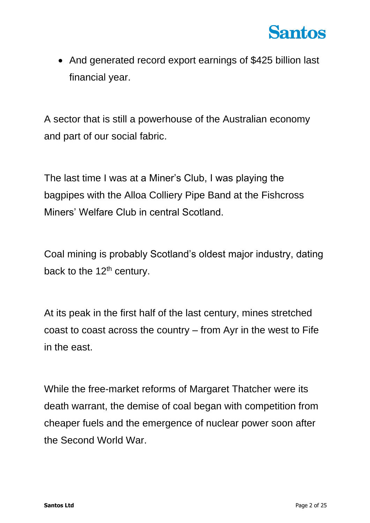

• And generated record export earnings of \$425 billion last financial year.

A sector that is still a powerhouse of the Australian economy and part of our social fabric.

The last time I was at a Miner's Club, I was playing the bagpipes with the Alloa Colliery Pipe Band at the Fishcross Miners' Welfare Club in central Scotland.

Coal mining is probably Scotland's oldest major industry, dating back to the  $12<sup>th</sup>$  century.

At its peak in the first half of the last century, mines stretched coast to coast across the country – from Ayr in the west to Fife in the east.

While the free-market reforms of Margaret Thatcher were its death warrant, the demise of coal began with competition from cheaper fuels and the emergence of nuclear power soon after the Second World War.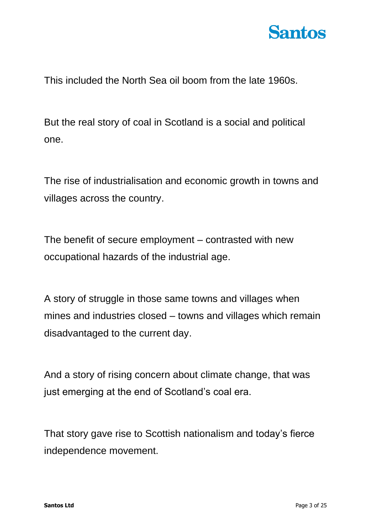

This included the North Sea oil boom from the late 1960s.

But the real story of coal in Scotland is a social and political one.

The rise of industrialisation and economic growth in towns and villages across the country.

The benefit of secure employment – contrasted with new occupational hazards of the industrial age.

A story of struggle in those same towns and villages when mines and industries closed – towns and villages which remain disadvantaged to the current day.

And a story of rising concern about climate change, that was just emerging at the end of Scotland's coal era.

That story gave rise to Scottish nationalism and today's fierce independence movement.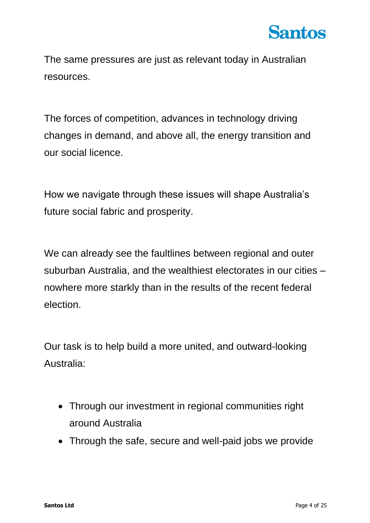

The same pressures are just as relevant today in Australian resources.

The forces of competition, advances in technology driving changes in demand, and above all, the energy transition and our social licence.

How we navigate through these issues will shape Australia's future social fabric and prosperity.

We can already see the faultlines between regional and outer suburban Australia, and the wealthiest electorates in our cities – nowhere more starkly than in the results of the recent federal election.

Our task is to help build a more united, and outward-looking Australia:

- Through our investment in regional communities right around Australia
- Through the safe, secure and well-paid jobs we provide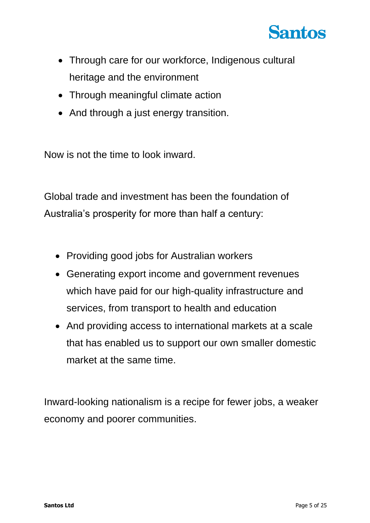

- Through care for our workforce, Indigenous cultural heritage and the environment
- Through meaningful climate action
- And through a just energy transition.

Now is not the time to look inward.

Global trade and investment has been the foundation of Australia's prosperity for more than half a century:

- Providing good jobs for Australian workers
- Generating export income and government revenues which have paid for our high-quality infrastructure and services, from transport to health and education
- And providing access to international markets at a scale that has enabled us to support our own smaller domestic market at the same time.

Inward-looking nationalism is a recipe for fewer jobs, a weaker economy and poorer communities.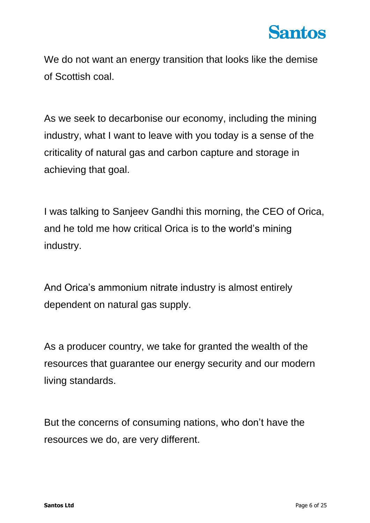We do not want an energy transition that looks like the demise of Scottish coal.

As we seek to decarbonise our economy, including the mining industry, what I want to leave with you today is a sense of the criticality of natural gas and carbon capture and storage in achieving that goal.

I was talking to Sanjeev Gandhi this morning, the CEO of Orica, and he told me how critical Orica is to the world's mining industry.

And Orica's ammonium nitrate industry is almost entirely dependent on natural gas supply.

As a producer country, we take for granted the wealth of the resources that guarantee our energy security and our modern living standards.

But the concerns of consuming nations, who don't have the resources we do, are very different.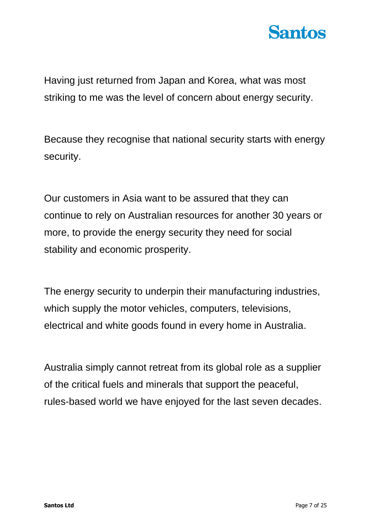

Having just returned from Japan and Korea, what was most striking to me was the level of concern about energy security.

Because they recognise that national security starts with energy security.

Our customers in Asia want to be assured that they can continue to rely on Australian resources for another 30 years or more, to provide the energy security they need for social stability and economic prosperity.

The energy security to underpin their manufacturing industries, which supply the motor vehicles, computers, televisions, electrical and white goods found in every home in Australia.

Australia simply cannot retreat from its global role as a supplier of the critical fuels and minerals that support the peaceful, rules-based world we have enjoyed for the last seven decades.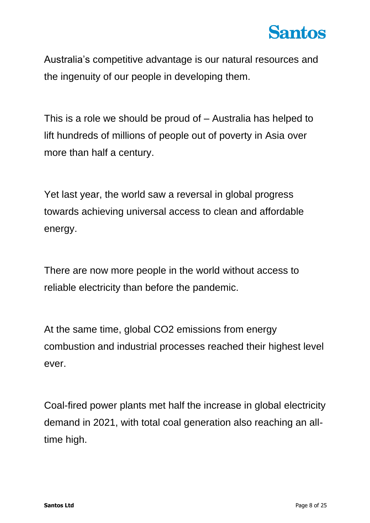

Australia's competitive advantage is our natural resources and the ingenuity of our people in developing them.

This is a role we should be proud of – Australia has helped to lift hundreds of millions of people out of poverty in Asia over more than half a century.

Yet last year, the world saw a reversal in global progress towards achieving universal access to clean and affordable energy.

There are now more people in the world without access to reliable electricity than before the pandemic.

At the same time, global CO2 emissions from energy combustion and industrial processes reached their highest level ever.

Coal-fired power plants met half the increase in global electricity demand in 2021, with total coal generation also reaching an alltime high.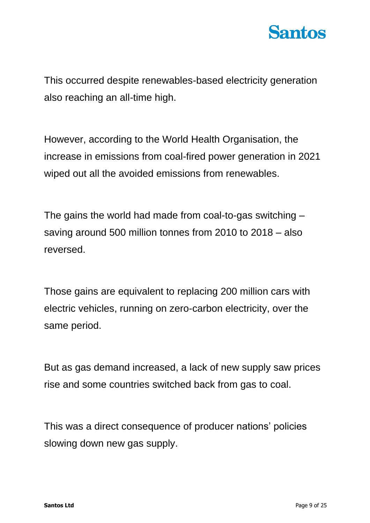

This occurred despite renewables-based electricity generation also reaching an all-time high.

However, according to the World Health Organisation, the increase in emissions from coal-fired power generation in 2021 wiped out all the avoided emissions from renewables.

The gains the world had made from coal-to-gas switching – saving around 500 million tonnes from 2010 to 2018 – also reversed.

Those gains are equivalent to replacing 200 million cars with electric vehicles, running on zero-carbon electricity, over the same period.

But as gas demand increased, a lack of new supply saw prices rise and some countries switched back from gas to coal.

This was a direct consequence of producer nations' policies slowing down new gas supply.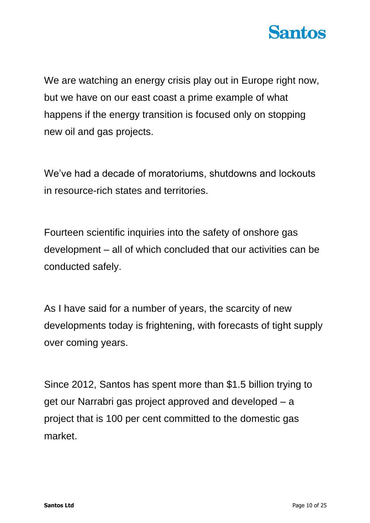

We are watching an energy crisis play out in Europe right now, but we have on our east coast a prime example of what happens if the energy transition is focused only on stopping new oil and gas projects.

We've had a decade of moratoriums, shutdowns and lockouts in resource-rich states and territories.

Fourteen scientific inquiries into the safety of onshore gas development – all of which concluded that our activities can be conducted safely.

As I have said for a number of years, the scarcity of new developments today is frightening, with forecasts of tight supply over coming years.

Since 2012, Santos has spent more than \$1.5 billion trying to get our Narrabri gas project approved and developed – a project that is 100 per cent committed to the domestic gas market.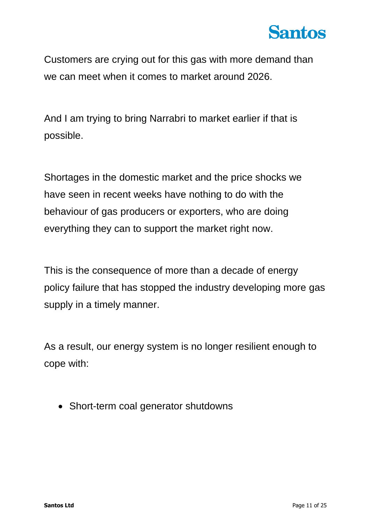

Customers are crying out for this gas with more demand than we can meet when it comes to market around 2026.

And I am trying to bring Narrabri to market earlier if that is possible.

Shortages in the domestic market and the price shocks we have seen in recent weeks have nothing to do with the behaviour of gas producers or exporters, who are doing everything they can to support the market right now.

This is the consequence of more than a decade of energy policy failure that has stopped the industry developing more gas supply in a timely manner.

As a result, our energy system is no longer resilient enough to cope with:

• Short-term coal generator shutdowns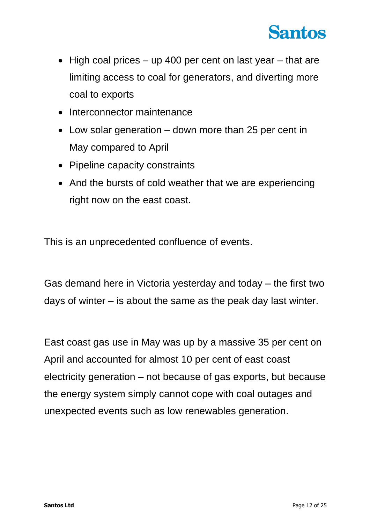

- High coal prices  $-$  up 400 per cent on last year  $-$  that are limiting access to coal for generators, and diverting more coal to exports
- Interconnector maintenance
- Low solar generation down more than 25 per cent in May compared to April
- Pipeline capacity constraints
- And the bursts of cold weather that we are experiencing right now on the east coast.

This is an unprecedented confluence of events.

Gas demand here in Victoria yesterday and today – the first two days of winter – is about the same as the peak day last winter.

East coast gas use in May was up by a massive 35 per cent on April and accounted for almost 10 per cent of east coast electricity generation – not because of gas exports, but because the energy system simply cannot cope with coal outages and unexpected events such as low renewables generation.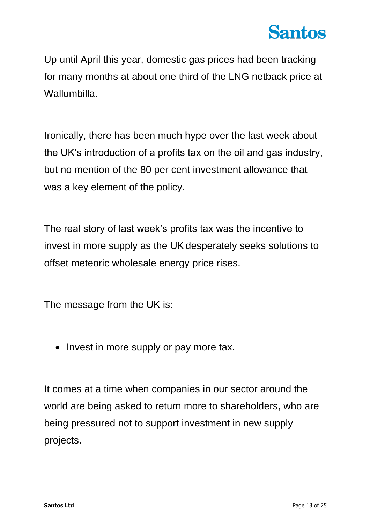Up until April this year, domestic gas prices had been tracking for many months at about one third of the LNG netback price at Wallumbilla.

Ironically, there has been much hype over the last week about the UK's introduction of a profits tax on the oil and gas industry, but no mention of the 80 per cent investment allowance that was a key element of the policy.

The real story of last week's profits tax was the incentive to invest in more supply as the UK desperately seeks solutions to offset meteoric wholesale energy price rises.

The message from the UK is:

• Invest in more supply or pay more tax.

It comes at a time when companies in our sector around the world are being asked to return more to shareholders, who are being pressured not to support investment in new supply projects.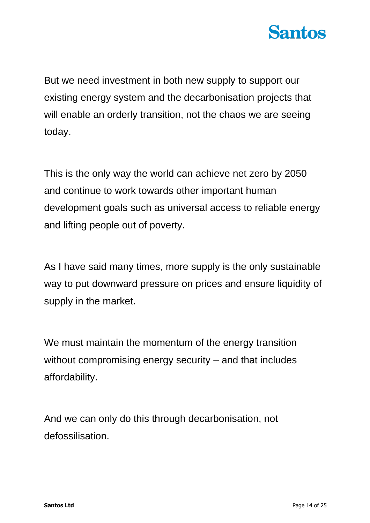

But we need investment in both new supply to support our existing energy system and the decarbonisation projects that will enable an orderly transition, not the chaos we are seeing today.

This is the only way the world can achieve net zero by 2050 and continue to work towards other important human development goals such as universal access to reliable energy and lifting people out of poverty.

As I have said many times, more supply is the only sustainable way to put downward pressure on prices and ensure liquidity of supply in the market.

We must maintain the momentum of the energy transition without compromising energy security – and that includes affordability.

And we can only do this through decarbonisation, not defossilisation.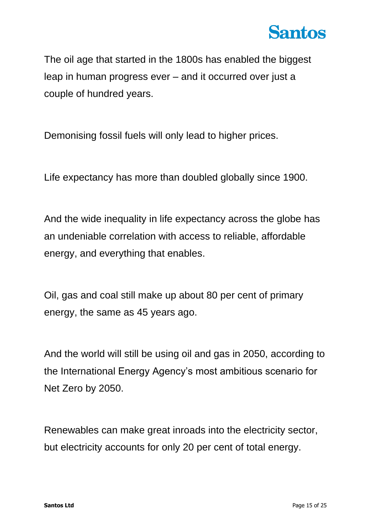

The oil age that started in the 1800s has enabled the biggest leap in human progress ever – and it occurred over just a couple of hundred years.

Demonising fossil fuels will only lead to higher prices.

Life expectancy has more than doubled globally since 1900.

And the wide inequality in life expectancy across the globe has an undeniable correlation with access to reliable, affordable energy, and everything that enables.

Oil, gas and coal still make up about 80 per cent of primary energy, the same as 45 years ago.

And the world will still be using oil and gas in 2050, according to the International Energy Agency's most ambitious scenario for Net Zero by 2050.

Renewables can make great inroads into the electricity sector, but electricity accounts for only 20 per cent of total energy.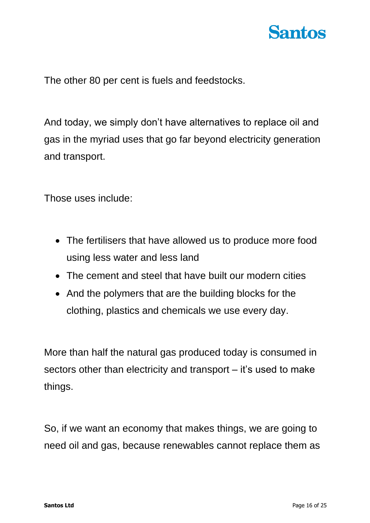The other 80 per cent is fuels and feedstocks.

And today, we simply don't have alternatives to replace oil and gas in the myriad uses that go far beyond electricity generation and transport.

Those uses include:

- The fertilisers that have allowed us to produce more food using less water and less land
- The cement and steel that have built our modern cities
- And the polymers that are the building blocks for the clothing, plastics and chemicals we use every day.

More than half the natural gas produced today is consumed in sectors other than electricity and transport – it's used to make things.

So, if we want an economy that makes things, we are going to need oil and gas, because renewables cannot replace them as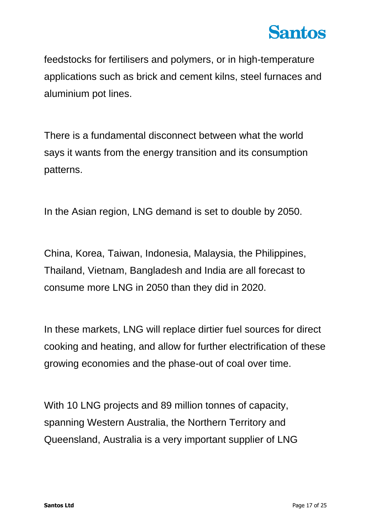

feedstocks for fertilisers and polymers, or in high-temperature applications such as brick and cement kilns, steel furnaces and aluminium pot lines.

There is a fundamental disconnect between what the world says it wants from the energy transition and its consumption patterns.

In the Asian region, LNG demand is set to double by 2050.

China, Korea, Taiwan, Indonesia, Malaysia, the Philippines, Thailand, Vietnam, Bangladesh and India are all forecast to consume more LNG in 2050 than they did in 2020.

In these markets, LNG will replace dirtier fuel sources for direct cooking and heating, and allow for further electrification of these growing economies and the phase-out of coal over time.

With 10 LNG projects and 89 million tonnes of capacity, spanning Western Australia, the Northern Territory and Queensland, Australia is a very important supplier of LNG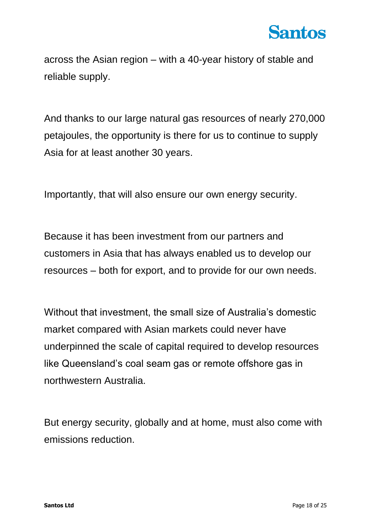across the Asian region – with a 40-year history of stable and reliable supply.

And thanks to our large natural gas resources of nearly 270,000 petajoules, the opportunity is there for us to continue to supply Asia for at least another 30 years.

Importantly, that will also ensure our own energy security.

Because it has been investment from our partners and customers in Asia that has always enabled us to develop our resources – both for export, and to provide for our own needs.

Without that investment, the small size of Australia's domestic market compared with Asian markets could never have underpinned the scale of capital required to develop resources like Queensland's coal seam gas or remote offshore gas in northwestern Australia.

But energy security, globally and at home, must also come with emissions reduction.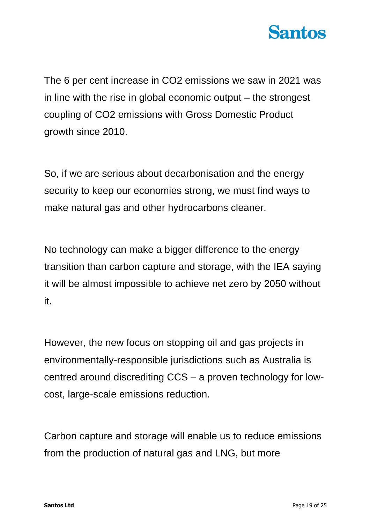

The 6 per cent increase in CO2 emissions we saw in 2021 was in line with the rise in global economic output – the strongest coupling of CO2 emissions with Gross Domestic Product growth since 2010.

So, if we are serious about decarbonisation and the energy security to keep our economies strong, we must find ways to make natural gas and other hydrocarbons cleaner.

No technology can make a bigger difference to the energy transition than carbon capture and storage, with the IEA saying it will be almost impossible to achieve net zero by 2050 without it.

However, the new focus on stopping oil and gas projects in environmentally-responsible jurisdictions such as Australia is centred around discrediting CCS – a proven technology for lowcost, large-scale emissions reduction.

Carbon capture and storage will enable us to reduce emissions from the production of natural gas and LNG, but more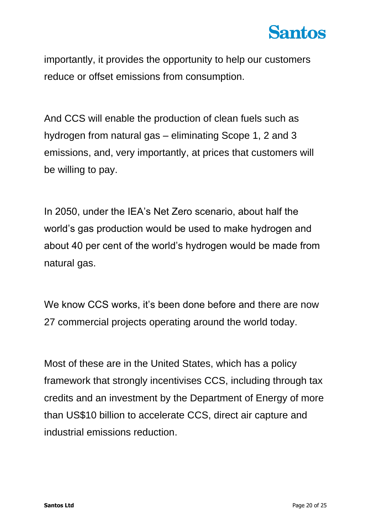

importantly, it provides the opportunity to help our customers reduce or offset emissions from consumption.

And CCS will enable the production of clean fuels such as hydrogen from natural gas – eliminating Scope 1, 2 and 3 emissions, and, very importantly, at prices that customers will be willing to pay.

In 2050, under the IEA's Net Zero scenario, about half the world's gas production would be used to make hydrogen and about 40 per cent of the world's hydrogen would be made from natural gas.

We know CCS works, it's been done before and there are now 27 commercial projects operating around the world today.

Most of these are in the United States, which has a policy framework that strongly incentivises CCS, including through tax credits and an investment by the Department of Energy of more than US\$10 billion to accelerate CCS, direct air capture and industrial emissions reduction.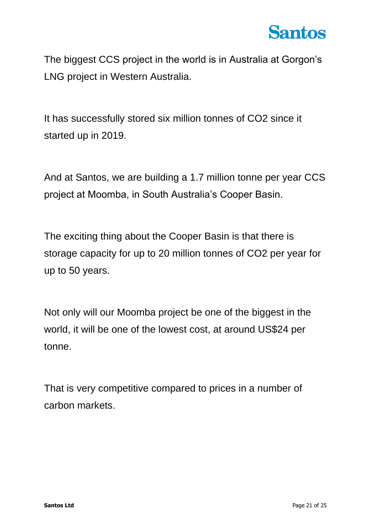The biggest CCS project in the world is in Australia at Gorgon's LNG project in Western Australia.

It has successfully stored six million tonnes of CO2 since it started up in 2019.

And at Santos, we are building a 1.7 million tonne per year CCS project at Moomba, in South Australia's Cooper Basin.

The exciting thing about the Cooper Basin is that there is storage capacity for up to 20 million tonnes of CO2 per year for up to 50 years.

Not only will our Moomba project be one of the biggest in the world, it will be one of the lowest cost, at around US\$24 per tonne.

That is very competitive compared to prices in a number of carbon markets.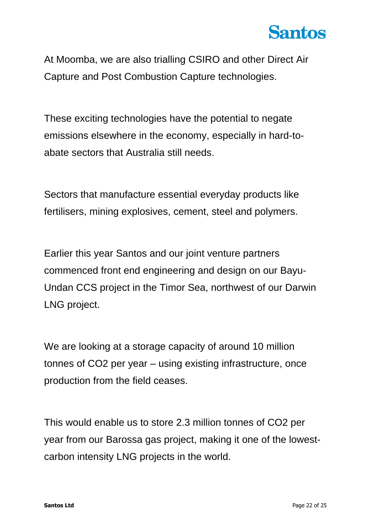At Moomba, we are also trialling CSIRO and other Direct Air Capture and Post Combustion Capture technologies.

These exciting technologies have the potential to negate emissions elsewhere in the economy, especially in hard-toabate sectors that Australia still needs.

Sectors that manufacture essential everyday products like fertilisers, mining explosives, cement, steel and polymers.

Earlier this year Santos and our joint venture partners commenced front end engineering and design on our Bayu-Undan CCS project in the Timor Sea, northwest of our Darwin LNG project.

We are looking at a storage capacity of around 10 million tonnes of CO2 per year – using existing infrastructure, once production from the field ceases.

This would enable us to store 2.3 million tonnes of CO2 per year from our Barossa gas project, making it one of the lowestcarbon intensity LNG projects in the world.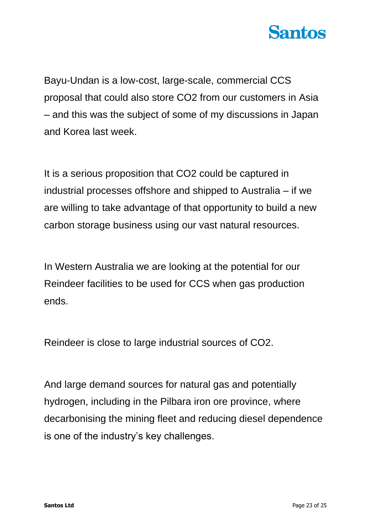

Bayu-Undan is a low-cost, large-scale, commercial CCS proposal that could also store CO2 from our customers in Asia – and this was the subject of some of my discussions in Japan and Korea last week.

It is a serious proposition that CO2 could be captured in industrial processes offshore and shipped to Australia – if we are willing to take advantage of that opportunity to build a new carbon storage business using our vast natural resources.

In Western Australia we are looking at the potential for our Reindeer facilities to be used for CCS when gas production ends.

Reindeer is close to large industrial sources of CO2.

And large demand sources for natural gas and potentially hydrogen, including in the Pilbara iron ore province, where decarbonising the mining fleet and reducing diesel dependence is one of the industry's key challenges.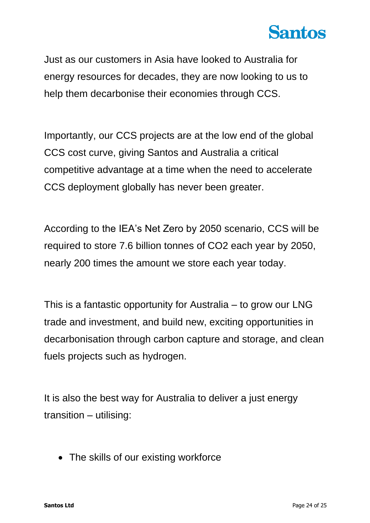Just as our customers in Asia have looked to Australia for energy resources for decades, they are now looking to us to help them decarbonise their economies through CCS.

Importantly, our CCS projects are at the low end of the global CCS cost curve, giving Santos and Australia a critical competitive advantage at a time when the need to accelerate CCS deployment globally has never been greater.

According to the IEA's Net Zero by 2050 scenario, CCS will be required to store 7.6 billion tonnes of CO2 each year by 2050, nearly 200 times the amount we store each year today.

This is a fantastic opportunity for Australia – to grow our LNG trade and investment, and build new, exciting opportunities in decarbonisation through carbon capture and storage, and clean fuels projects such as hydrogen.

It is also the best way for Australia to deliver a just energy transition – utilising:

• The skills of our existing workforce